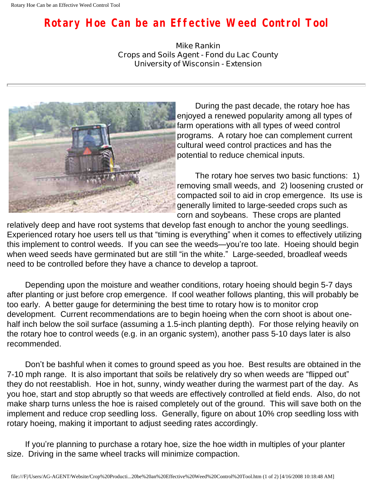## **Rotary Hoe Can be an Effective Weed Control Tool**

**Mike Rankin Crops and Soils Agent - Fond du Lac County University of Wisconsin - Extension**



 During the past decade, the rotary hoe has enjoyed a renewed popularity among all types of farm operations with all types of weed control programs. A rotary hoe can complement current cultural weed control practices and has the potential to reduce chemical inputs.

 The rotary hoe serves two basic functions: 1) removing small weeds, and 2) loosening crusted or compacted soil to aid in crop emergence. Its use is generally limited to large-seeded crops such as corn and soybeans. These crops are planted

relatively deep and have root systems that develop fast enough to anchor the young seedlings. Experienced rotary hoe users tell us that "timing is everything" when it comes to effectively utilizing this implement to control weeds. If you can see the weeds—you're too late. Hoeing should begin when weed seeds have germinated but are still "in the white." Large-seeded, broadleaf weeds need to be controlled before they have a chance to develop a taproot.

 Depending upon the moisture and weather conditions, rotary hoeing should begin 5-7 days after planting or just before crop emergence. If cool weather follows planting, this will probably be too early. A better gauge for determining the best time to rotary how is to monitor crop development. Current recommendations are to begin hoeing when the corn shoot is about onehalf inch below the soil surface (assuming a 1.5-inch planting depth). For those relying heavily on the rotary hoe to control weeds (e.g. in an organic system), another pass 5-10 days later is also recommended.

 Don't be bashful when it comes to ground speed as you hoe. Best results are obtained in the 7-10 mph range. It is also important that soils be relatively dry so when weeds are "flipped out" they do not reestablish. Hoe in hot, sunny, windy weather during the warmest part of the day. As you hoe, start and stop abruptly so that weeds are effectively controlled at field ends. Also, do not make sharp turns unless the hoe is raised completely out of the ground. This will save both on the implement and reduce crop seedling loss. Generally, figure on about 10% crop seedling loss with rotary hoeing, making it important to adjust seeding rates accordingly.

 If you're planning to purchase a rotary hoe, size the hoe width in multiples of your planter size. Driving in the same wheel tracks will minimize compaction.